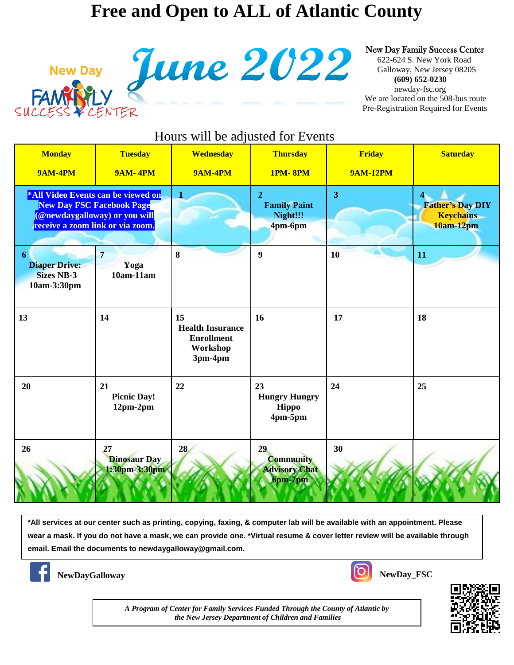## **Free and Open to ALL of Atlantic County**



New Day Family Success Center<br>
G22-624 S. New York Road<br>
Galloway, New Jersey 08205<br>
(609) 652-0230<br>
We are located on the 508-bus route

 622-624 S. New York Road Galloway, New Jersey 08205  **(609) 652-0230**  newday-fsc.org We are located on the 508-bus route Pre-Registration Required for Events

| Hours will be adjusted for Events                                                                                                           |                                            |                                                                           |                                                              |                                  |                                                          |  |
|---------------------------------------------------------------------------------------------------------------------------------------------|--------------------------------------------|---------------------------------------------------------------------------|--------------------------------------------------------------|----------------------------------|----------------------------------------------------------|--|
| <b>Monday</b><br><b>9AM-4PM</b>                                                                                                             | <b>Tuesday</b><br><b>9AM-4PM</b>           | <b>Wednesday</b><br><b>9AM-4PM</b>                                        | <b>Thursday</b><br><b>1PM-8PM</b>                            | <b>Friday</b><br><b>9AM-12PM</b> | <b>Saturday</b>                                          |  |
| *All Video Events can be viewed on<br><b>New Day FSC Facebook Page</b><br>(@newdaygalloway) or you will<br>receive a zoom link or via zoom. |                                            | 1                                                                         | $\overline{2}$<br><b>Family Paint</b><br>Night!!!<br>4pm-6pm | 3                                | <b>Father's Day DIY</b><br><b>Keychains</b><br>10am-12pm |  |
| 6<br><b>Diaper Drive:</b><br><b>Sizes NB-3</b><br>10am-3:30pm                                                                               | $\overline{7}$<br>Yoga<br>$10am-11am$      | 8                                                                         | $\boldsymbol{9}$                                             | 10                               | 11                                                       |  |
| 13                                                                                                                                          | 14                                         | 15<br><b>Health Insurance</b><br><b>Enrollment</b><br>Workshop<br>3pm-4pm | 16                                                           | 17                               | 18                                                       |  |
| 20                                                                                                                                          | 21<br><b>Picnic Day!</b><br>$12pm-2pm$     | 22                                                                        | 23<br><b>Hungry Hungry</b><br>Hippo<br>4pm-5pm               | 24                               | 25                                                       |  |
| 26                                                                                                                                          | 27<br><b>Dinosaur Day</b><br>1:30pm-3:30pm | 28                                                                        | 29<br><b>Community</b><br><b>Advisory Chat</b><br>6pm-7pm    | 30                               |                                                          |  |

**\*All services at our center such as printing, copying, faxing, & computer lab will be available with an appointment. Please wear a mask. If you do not have a mask, we can provide one. \*Virtual resume & cover letter review will be available through email. Email the documents to newdaygalloway@gmail.com.**



**NewDayGalloway NewDay\_FSC** 



*A Program of Center for Family Services Funded Through the County of Atlantic by the New Jersey Department of Children and Families*